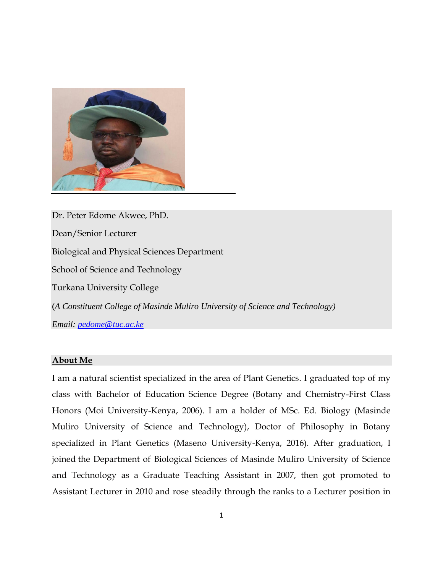

Dr. Peter Edome Akwee, PhD. Dean/Senior Lecturer Biological and Physical Sciences Department School of Science and Technology Turkana University College (*A Constituent College of Masinde Muliro University of Science and Technology) Email: [pedome@tuc.ac.ke](mailto:pedome@tuc.ac.ke)*

## **About Me**

I am a natural scientist specialized in the area of Plant Genetics. I graduated top of my class with Bachelor of Education Science Degree (Botany and Chemistry-First Class Honors (Moi University-Kenya, 2006). I am a holder of MSc. Ed. Biology (Masinde Muliro University of Science and Technology), Doctor of Philosophy in Botany specialized in Plant Genetics (Maseno University-Kenya, 2016). After graduation, I joined the Department of Biological Sciences of Masinde Muliro University of Science and Technology as a Graduate Teaching Assistant in 2007, then got promoted to Assistant Lecturer in 2010 and rose steadily through the ranks to a Lecturer position in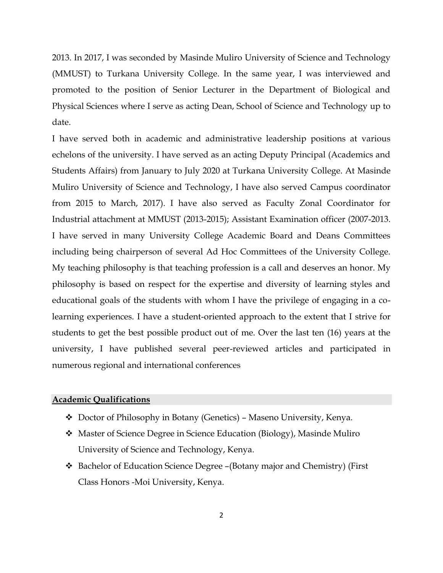2013. In 2017, I was seconded by Masinde Muliro University of Science and Technology (MMUST) to Turkana University College. In the same year, I was interviewed and promoted to the position of Senior Lecturer in the Department of Biological and Physical Sciences where I serve as acting Dean, School of Science and Technology up to date.

I have served both in academic and administrative leadership positions at various echelons of the university. I have served as an acting Deputy Principal (Academics and Students Affairs) from January to July 2020 at Turkana University College. At Masinde Muliro University of Science and Technology, I have also served Campus coordinator from 2015 to March, 2017). I have also served as Faculty Zonal Coordinator for Industrial attachment at MMUST (2013-2015); Assistant Examination officer (2007-2013. I have served in many University College Academic Board and Deans Committees including being chairperson of several Ad Hoc Committees of the University College. My teaching philosophy is that teaching profession is a call and deserves an honor. My philosophy is based on respect for the expertise and diversity of learning styles and educational goals of the students with whom I have the privilege of engaging in a colearning experiences. I have a student-oriented approach to the extent that I strive for students to get the best possible product out of me. Over the last ten (16) years at the university, I have published several peer-reviewed articles and participated in numerous regional and international conferences

# **Academic Qualifications**

- ❖ Doctor of Philosophy in Botany (Genetics) Maseno University, Kenya.
- ❖ Master of Science Degree in Science Education (Biology), Masinde Muliro University of Science and Technology, Kenya.
- ❖ Bachelor of Education Science Degree –(Botany major and Chemistry) (First Class Honors -Moi University, Kenya.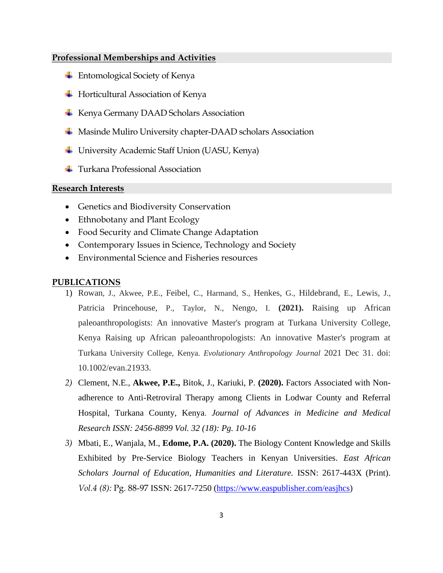# **Professional Memberships and Activities**

- Entomological Society of Kenya
- $\overline{\phantom{a}}$  Horticultural Association of Kenya
- **Kenya Germany DAAD Scholars Association**
- ↓ Masinde Muliro University chapter-DAAD scholars Association
- University Academic Staff Union (UASU, Kenya)
- $\frac{1}{\sqrt{1}}$  Turkana Professional Association

## **Research Interests**

- Genetics and Biodiversity Conservation
- Ethnobotany and Plant Ecology
- Food Security and Climate Change Adaptation
- Contemporary Issues in Science, Technology and Society
- Environmental Science and Fisheries resources

#### **PUBLICATIONS**

- 1) Rowan, J., Akwee, P.E., Feibel, C., Harmand, S., Henkes, G., Hildebrand, E., Lewis, J., Patricia Princehouse, P., Taylor, N., Nengo, I. **(2021).** Raising up African paleoanthropologists: An innovative Master's program at Turkana University College, Kenya Raising up African paleoanthropologists: An innovative Master's program at Turkana University College, Kenya. *Evolutionary Anthropology Journal* 2021 Dec 31. doi: 10.1002/evan.21933.
- *2)* Clement, N.E., **Akwee, P.E.,** Bitok, J., Kariuki, P. **(2020).** [Factors Associated with Non](https://scholar.google.com/scholar?oi=bibs&cluster=16977153998713432157&btnI=1&hl=en)[adherence to Anti-Retroviral Therapy among Clients in Lodwar County and Referral](https://scholar.google.com/scholar?oi=bibs&cluster=16977153998713432157&btnI=1&hl=en)  [Hospital, Turkana County, Kenya](https://scholar.google.com/scholar?oi=bibs&cluster=16977153998713432157&btnI=1&hl=en). *Journal of Advances in Medicine and Medical Research ISSN: 2456-8899 Vol. 32 (18): Pg. 10-16*
- *3)* Mbati, E., Wanjala, M., **Edome, P.A. (2020).** The Biology Content Knowledge and Skills Exhibited by Pre-Service Biology Teachers in Kenyan Universities. *East African Scholars Journal of Education, Humanities and Literature.* ISSN: 2617-443X (Print). *Vol.4 (8):* Pg. 88-97 ISSN: 2617-7250 [\(https://www.easpublisher.com/easjhcs\)](https://www.easpublisher.com/easjhcs)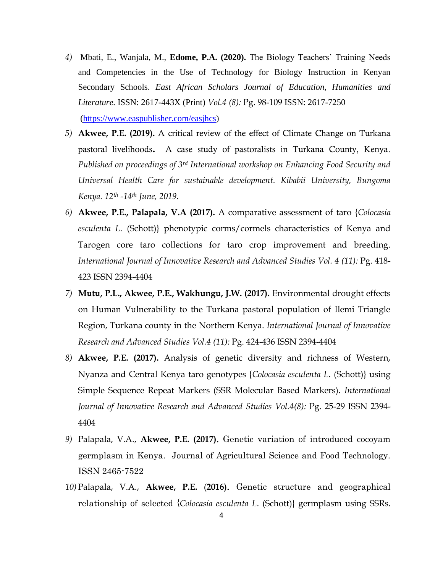- *4)* Mbati, E., Wanjala, M., **Edome, P.A. (2020).** The Biology Teachers' Training Needs and Competencies in the Use of Technology for Biology Instruction in Kenyan Secondary Schools. *East African Scholars Journal of Education, Humanities and Literature.* ISSN: 2617-443X (Print) *Vol.4 (8):* Pg. 98-109 ISSN: 2617-7250 [\(https://www.easpublisher.com/easjhcs\)](https://www.easpublisher.com/easjhcs)
- *5)* **Akwee, P.E. (2019).** A critical review of the effect of Climate Change on Turkana pastoral livelihoods. A case study of pastoralists in Turkana County, Kenya. *Published on proceedings of 3rd International workshop on Enhancing Food Security and Universal Health Care for sustainable development. Kibabii University, Bungoma Kenya. 12th -14th June, 2019*.
- *6)* **Akwee, P.E., Palapala, V.A (2017).** A comparative assessment of taro {*Colocasia esculenta L*. (Schott)} phenotypic corms/cormels characteristics of Kenya and Tarogen core taro collections for taro crop improvement and breeding. *International Journal of Innovative Research and Advanced Studies Vol. 4 (11):* Pg. 418- 423 ISSN 2394-4404
- *7)* **Mutu, P.L., Akwee, P.E., Wakhungu, J.W. (2017).** Environmental drought effects on Human Vulnerability to the Turkana pastoral population of Ilemi Triangle Region, Turkana county in the Northern Kenya. *International Journal of Innovative Research and Advanced Studies Vol.4 (11):* Pg. 424-436 ISSN 2394-4404
- *8)* **Akwee, P.E. (2017).** Analysis of genetic diversity and richness of Western, Nyanza and Central Kenya taro genotypes {*Colocasia esculenta L*. (Schott)} using Simple Sequence Repeat Markers (SSR Molecular Based Markers). *International Journal of Innovative Research and Advanced Studies Vol.4(8):* Pg. 25-29 ISSN 2394- 4404
- *9)* Palapala, V.A., **Akwee, P.E. (2017)**. Genetic variation of introduced cocoyam germplasm in Kenya. Journal of Agricultural Science and Food Technology. ISSN 2465-7522
- *10)* Palapala, V.A., **Akwee, P.E.** (**2016)**. Genetic structure and geographical relationship of selected {*Colocasia esculenta L*. (Schott)} germplasm using SSRs.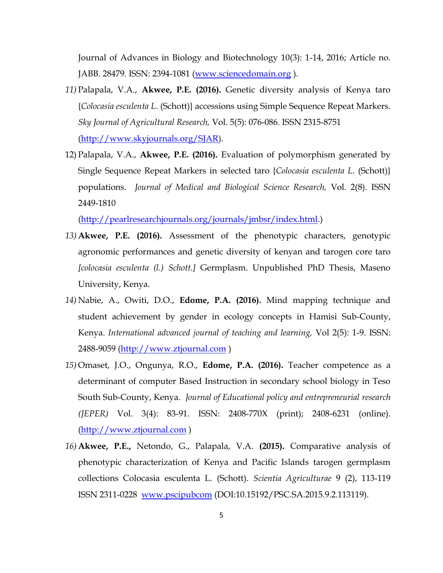Journal of Advances in Biology and Biotechnology 10(3): 1-14, 2016; Article no. JABB. 28479. ISSN: 2394-1081 [\(www.sciencedomain.org](http://www.sciencedomain.org/) ).

- *11)* Palapala, V.A., **Akwee, P.E. (2016).** Genetic diversity analysis of Kenya taro {*Colocasia esculenta L*. (Schott)} accessions using Simple Sequence Repeat Markers. *Sky Journal of Agricultural Research,* Vol. 5(5): 076-086. ISSN 2315-8751 [\(http://www.skyjournals.org/SJAR\)](http://www.skyjournals.org/SJAR).
- 12) Palapala, V.A., **Akwee, P.E. (2016).** Evaluation of polymorphism generated by Single Sequence Repeat Markers in selected taro {*Colocasia esculenta L*. (Schott)} populations. *Journal of Medical and Biological Science Research,* Vol. 2(8). ISSN 2449-1810

[\(http://pearlresearchjournals.org/journals/jmbsr/index.html.](http://pearlresearchjournals.org/journals/jmbsr/index.html))

- *13)* **Akwee, P.E. (2016).** Assessment of the phenotypic characters, genotypic agronomic performances and genetic diversity of kenyan and tarogen core taro *[colocasia esculenta (l.) Schott.]* Germplasm. Unpublished PhD Thesis, Maseno University, Kenya.
- *14)* Nabie, A., Owiti, D.O., **Edome, P.A. (2016).** Mind mapping technique and student achievement by gender in ecology concepts in Hamisi Sub-County, Kenya. *International advanced journal of teaching and learning,* Vol 2(5): 1-9. ISSN: 2488-9059 [\(http://www.ztjournal.com](http://www.ztjournal.com/) )
- *15)* Omaset, J.O., Ongunya, R.O., **Edome, P.A. (2016).** Teacher competence as a determinant of computer Based Instruction in secondary school biology in Teso South Sub-County, Kenya. *Journal of Educational policy and entrepreneurial research (JEPER)* Vol. 3(4): 83-91. ISSN: 2408-770X (print); 2408-6231 (online). [\(http://www.ztjournal.com](http://www.ztjournal.com/) )
- *16)* **Akwee, P.E.,** Netondo, G., Palapala, V.A. **(2015).** Comparative analysis of phenotypic characterization of Kenya and Pacific Islands tarogen germplasm collections Colocasia esculenta L. (Schott). *Scientia Agriculturae* 9 (2), 113-119 ISSN 2311-0228 [www.pscipubcom](http://www.pscipubcom/) (DOI:10.15192/PSC.SA.2015.9.2.113119).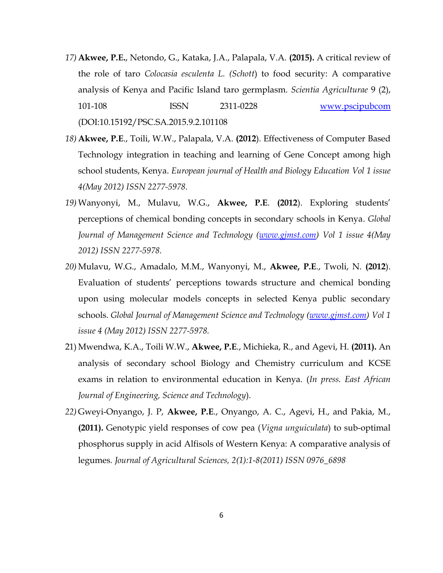- *17)* **Akwee, P.E.**, Netondo, G., Kataka, J.A., Palapala, V.A. **(2015).** A critical review of the role of taro *Colocasia esculenta L. (Schott*) to food security: A comparative analysis of Kenya and Pacific Island taro germplasm. *Scientia Agriculturae* 9 (2), 101-108 ISSN 2311-0228 [www.pscipubcom](http://www.pscipubcom/) (DOI:10.15192/PSC.SA.2015.9.2.101108
- *18)* **Akwee, P.E**., Toili, W.W., Palapala, V.A. **(2012**). Effectiveness of Computer Based Technology integration in teaching and learning of Gene Concept among high school students, Kenya. *European journal of Health and Biology Education Vol 1 issue 4(May 2012) ISSN 2277-5978.*
- *19)* Wanyonyi, M., Mulavu, W.G., **Akwee, P.E**. **(2012**). Exploring students' perceptions of chemical bonding concepts in secondary schools in Kenya. *Global Journal of Management Science and Technology [\(www.gjmst.com\)](http://www.gjmst.com/) Vol 1 issue 4(May 2012) ISSN 2277-5978.*
- *20)* Mulavu, W.G., Amadalo, M.M., Wanyonyi, M., **Akwee, P.E**., Twoli, N. **(2012**). Evaluation of students' perceptions towards structure and chemical bonding upon using molecular models concepts in selected Kenya public secondary schools. *Global Journal of Management Science and Technology [\(www.gjmst.com\)](http://www.gjmst.com/) Vol 1 issue 4 (May 2012) ISSN 2277-5978.*
- 21) Mwendwa, K.A., Toili W.W., **Akwee, P.E**., Michieka, R., and Agevi, H. **(2011).** An analysis of secondary school Biology and Chemistry curriculum and KCSE exams in relation to environmental education in Kenya. (*In press. East African Journal of Engineering, Science and Technology*).
- *22)* Gweyi-Onyango, J. P, **Akwee, P.E**., Onyango, A. C., Agevi, H., and Pakia, M., **(2011).** Genotypic yield responses of cow pea (*Vigna unguiculata*) to sub-optimal phosphorus supply in acid Alfisols of Western Kenya: A comparative analysis of legumes*. Journal of Agricultural Sciences, 2(1):1-8(2011) ISSN 0976\_6898*